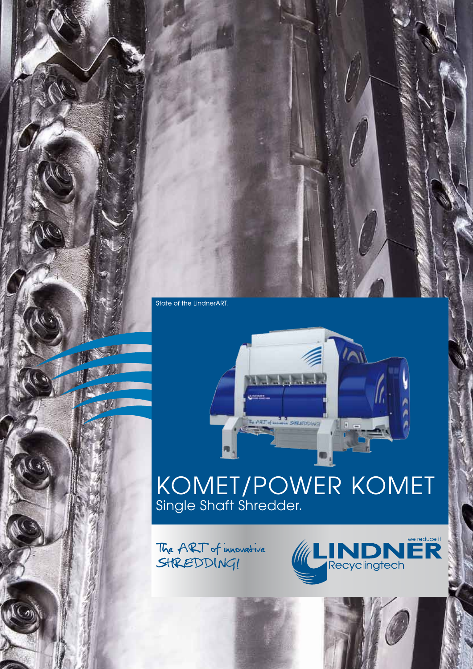

# KOMET/POWER KOMET Single Shaft Shredder.

**CA SHEEDDUKT** 

*<u><b>RG 700</u>* 

The ART of innovative SHREDDING!



 $\overline{\wedge}$ 

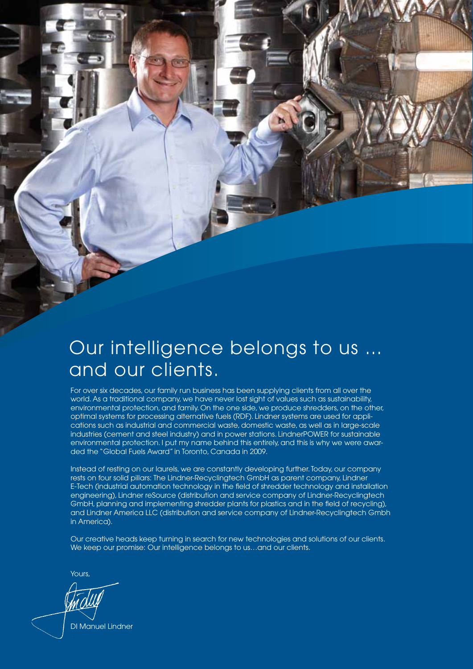# Our intelligence belongs to us ... and our clients.

For over six decades, our family run business has been supplying clients from all over the world. As a traditional company, we have never lost sight of values such as sustainability, environmental protection, and family. On the one side, we produce shredders, on the other, optimal systems for processing alternative fuels (RDF). Lindner systems are used for applications such as industrial and commercial waste, domestic waste, as well as in large-scale industries (cement and steel industry) and in power stations. LindnerPOWER for sustainable environmental protection. I put my name behind this entirely, and this is why we were awarded the "Global Fuels Award" in Toronto, Canada in 2009.

Instead of resting on our laurels, we are constantly developing further. Today, our company rests on four solid pillars: The Lindner-Recyclingtech GmbH as parent company, Lindner E-Tech (industrial automation technology in the field of shredder technology and installation engineering), Lindner reSource (distribution and service company of Lindner-Recyclingtech GmbH, planning and implementing shredder plants for plastics and in the field of recycling), and Lindner America LLC (distribution and service company of Lindner-Recyclingtech Gmbh in America).

Our creative heads keep turning in search for new technologies and solutions of our clients. We keep our promise: Our intelligence belongs to us...and our clients.

Yours,

DI Manuel Lindner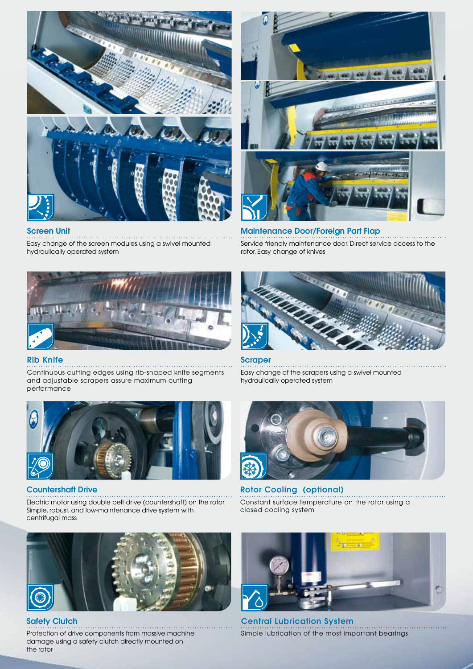

# $|cos|cos|cos|$

### Maintenance Door/Foreign Part Flap Service friendly maintenance door. Direct service access to the rotor. Easy change of knives



Easy change of the screen modules using a swivel mounted

. . . . . . . . . . . .

. . . . . . . . . . . . . . . .

### Rib Knife

Screen Unit

hydraulically operated system

Continuous cutting edges using rib-shaped knife segments and adjustable scrapers assure maximum cutting performance



### Countershaft Drive

Electric motor using double belt drive (countershaft) on the rotor. Simple, robust, and low-maintenance drive system with centrifugal mass



# **Scraper**

Easy change of the scrapers using a swivel mounted hydraulically operated system



Rotor Cooling (optional) Constant surface temperature on the rotor using a closed cooling system



**Safety Clutch** 

Protection of drive components from massive machine damage using a safety clutch directly mounted on the rotor



Central Lubrication System Simple lubrication of the most important bearings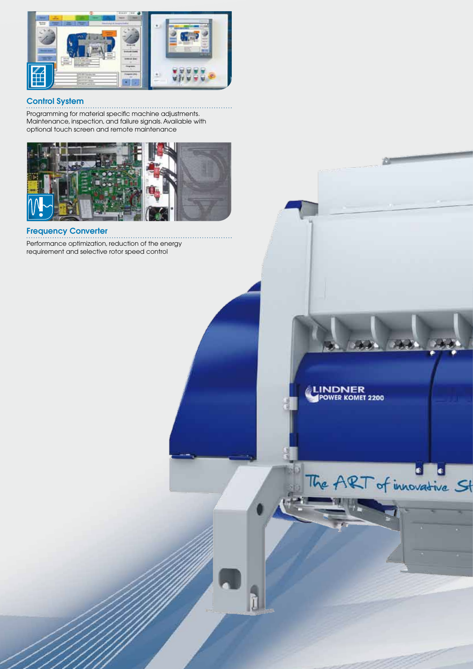

### Control System

. . . . . . . . . Programming for material specific machine adjustments. Maintenance, inspection, and failure signals. Available with optional touch screen and remote maintenance



### Frequency Converter

. . . . . . . . . . . Performance optimization, reduction of the energy requirement and selective rotor speed control

# LINDNER<br>POWER KOMET 2200

The ART of innovative St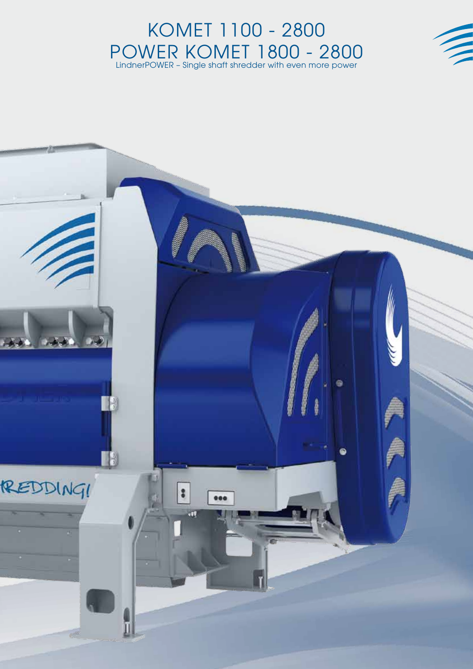